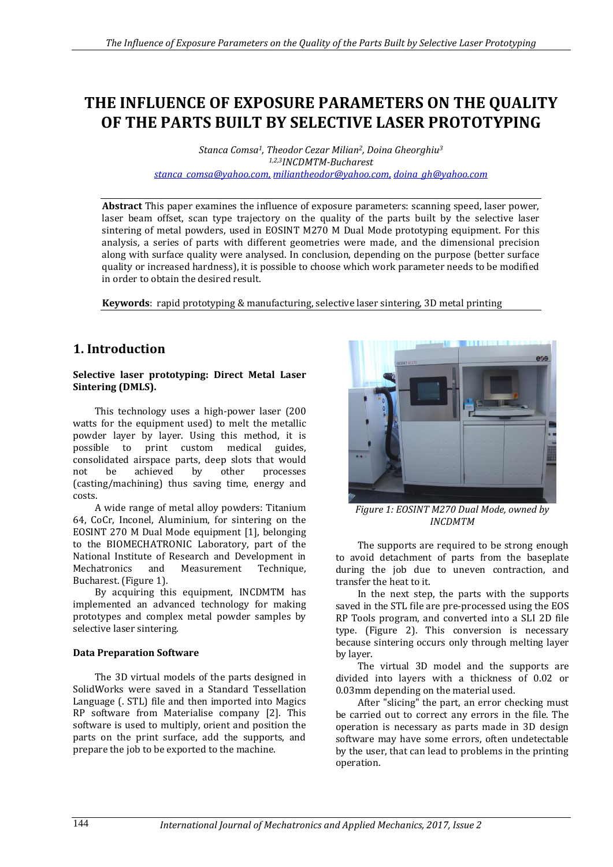# **THE INFLUENCE OF EXPOSURE PARAMETERS ON THE QUALITY OF THE PARTS BUILT BY SELECTIVE LASER PROTOTYPING**

*Stanca Comsa1, Theodor Cezar Milian2, Doina Gheorghiu<sup>3</sup> 1,2,3INCDMTM-Bucharest [stanca\\_comsa@yahoo.com,](mailto:stanca_comsa@yahoo.com) [miliantheodor@yahoo.com,](mailto:miliantheodor@yahoo.com) doina\_gh@yahoo.com*

**Abstract** This paper examines the influence of exposure parameters: scanning speed, laser power, laser beam offset, scan type trajectory on the quality of the parts built by the selective laser sintering of metal powders, used in EOSINT M270 M Dual Mode prototyping equipment. For this analysis, a series of parts with different geometries were made, and the dimensional precision along with surface quality were analysed. In conclusion, depending on the purpose (better surface quality or increased hardness), it is possible to choose which work parameter needs to be modified in order to obtain the desired result.

**Keywords**: rapid prototyping & manufacturing, selective laser sintering, 3D metal printing

# **1. Introduction**

#### **Selective laser prototyping: Direct Metal Laser Sintering (DMLS).**

This technology uses a high-power laser (200 watts for the equipment used) to melt the metallic powder layer by layer. Using this method, it is possible to print custom medical guides, consolidated airspace parts, deep slots that would not be achieved by other processes (casting/machining) thus saving time, energy and costs.

A wide range of metal alloy powders: Titanium 64, CoCr, Inconel, Aluminium, for sintering on the EOSINT 270 M Dual Mode equipment [1], belonging to the BIOMECHATRONIC Laboratory, part of the National Institute of Research and Development in Mechatronics and Measurement Technique, Bucharest. (Figure 1).

By acquiring this equipment, INCDMTM has implemented an advanced technology for making prototypes and complex metal powder samples by selective laser sintering.

#### **Data Preparation Software**

The 3D virtual models of the parts designed in SolidWorks were saved in a Standard Tessellation Language (. STL) file and then imported into Magics RP software from Materialise company [2]. This software is used to multiply, orient and position the parts on the print surface, add the supports, and prepare the job to be exported to the machine.



*Figure 1: EOSINT M270 Dual Mode, owned by INCDMTM*

The supports are required to be strong enough to avoid detachment of parts from the baseplate during the job due to uneven contraction, and transfer the heat to it.

In the next step, the parts with the supports saved in the STL file are pre-processed using the EOS RP Tools program, and converted into a SLI 2D file type. (Figure 2). This conversion is necessary because sintering occurs only through melting layer by layer.

The virtual 3D model and the supports are divided into layers with a thickness of 0.02 or 0.03mm depending on the material used.

After "slicing" the part, an error checking must be carried out to correct any errors in the file. The operation is necessary as parts made in 3D design software may have some errors, often undetectable by the user, that can lead to problems in the printing operation.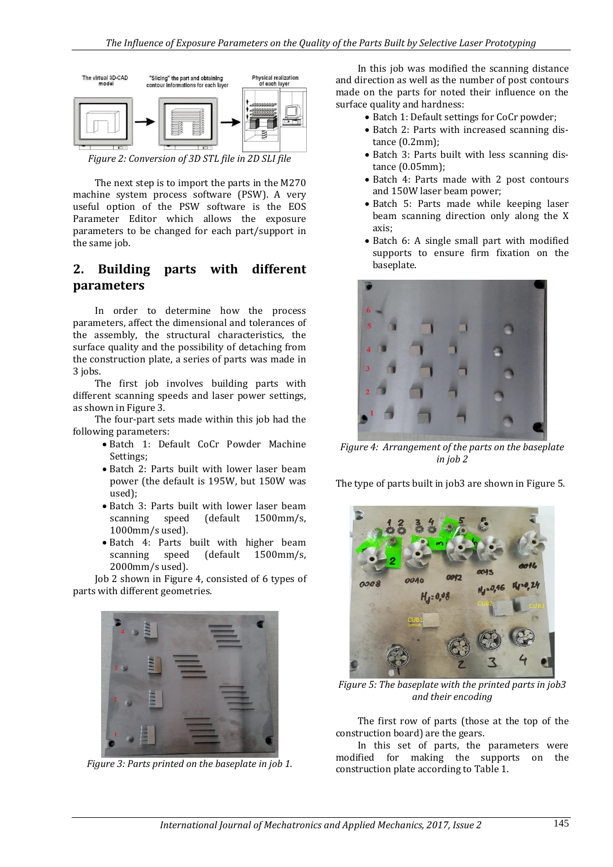

*Figure 2: Conversion of 3D STL file in 2D SLI file*

The next step is to import the parts in the M270 machine system process software (PSW). A very useful option of the PSW software is the EOS Parameter Editor which allows the exposure parameters to be changed for each part/support in the same job.

## **2. Building parts with different parameters**

In order to determine how the process parameters, affect the dimensional and tolerances of the assembly, the structural characteristics, the surface quality and the possibility of detaching from the construction plate, a series of parts was made in 3 jobs.

The first job involves building parts with different scanning speeds and laser power settings, as shown in Figure 3.

The four-part sets made within this job had the following parameters:

- Batch 1: Default CoCr Powder Machine Settings;
- Batch 2: Parts built with lower laser beam power (the default is 195W, but 150W was used);
- Batch 3: Parts built with lower laser beam scanning speed (default 1500mm/s, 1000mm/s used).
- Batch 4: Parts built with higher beam scanning speed (default 1500mm/s, 2000mm/s used).

Job 2 shown in Figure 4, consisted of 6 types of parts with different geometries.



*Figure 3: Parts printed on the baseplate in job 1.*

In this job was modified the scanning distance and direction as well as the number of post contours made on the parts for noted their influence on the surface quality and hardness:

- Batch 1: Default settings for CoCr powder;
- Batch 2: Parts with increased scanning distance (0.2mm);
- Batch 3: Parts built with less scanning distance (0.05mm);
- Batch 4: Parts made with 2 post contours and 150W laser beam power;
- Batch 5: Parts made while keeping laser beam scanning direction only along the X axis;
- Batch 6: A single small part with modified supports to ensure firm fixation on the baseplate.



*Figure 4: Arrangement of the parts on the baseplate in job 2*

The type of parts built in job3 are shown in Figure 5.



*Figure 5: The baseplate with the printed parts in job3 and their encoding*

The first row of parts (those at the top of the construction board) are the gears.

In this set of parts, the parameters were modified for making the supports on the construction plate according to Table 1.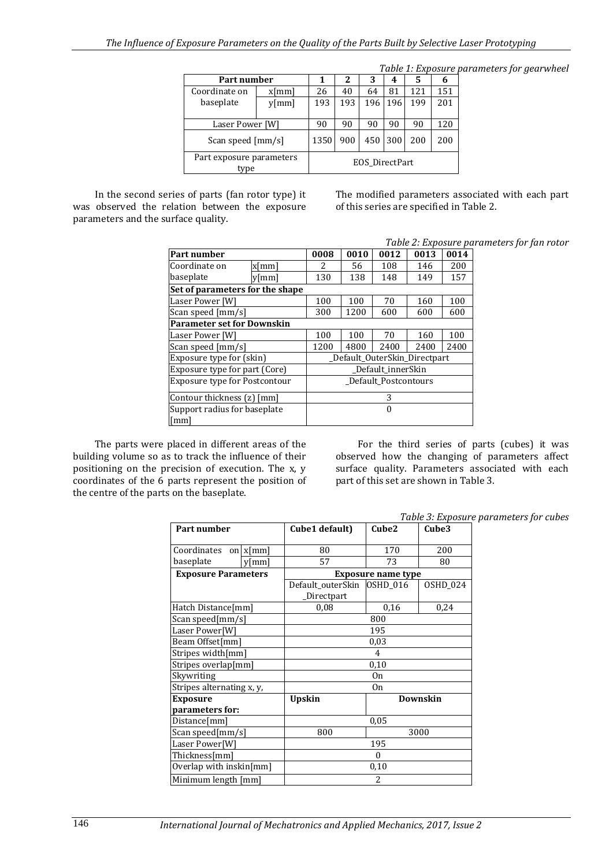|                                  |          |      |     |                |         |     |     | Table 1: Exposure parameters for gearwheel |
|----------------------------------|----------|------|-----|----------------|---------|-----|-----|--------------------------------------------|
| Part number                      |          |      | 2   | 3              | 4       | 5   | b   |                                            |
| Coordinate on                    | $x$ [mm] | 26   | 40  | 64             | 81      | 121 | 151 |                                            |
| baseplate                        | $y$ [mm] | 193  | 193 | 196            | 196 l   | 199 | 201 |                                            |
|                                  |          |      |     |                |         |     |     |                                            |
| Laser Power [W]                  |          | 90   | 90  | 90             | 90      | 90  | 120 |                                            |
| Scan speed [mm/s]                |          | 1350 | 900 |                | 450 300 | 200 | 200 |                                            |
| Part exposure parameters<br>type |          |      |     | EOS DirectPart |         |     |     |                                            |

In the second series of parts (fan rotor type) it was observed the relation between the exposure parameters and the surface quality.

The modified parameters associated with each part of this series are specified in Table 2.

#### *Table 2: Exposure parameters for fan rotor*

| Part number                          | 0008                         | 0010 | 0012 | 0013 | 0014 |      |  |
|--------------------------------------|------------------------------|------|------|------|------|------|--|
| Coordinate on                        | x[mm]                        | 2.   | 56   | 108  | 146  | 200  |  |
| baseplate                            | $v$ [mm]                     | 130  | 138  | 148  | 149  | 157  |  |
| Set of parameters for the shape      |                              |      |      |      |      |      |  |
| Laser Power [W]                      |                              | 100  | 100  | 70   | 160  | 100  |  |
| Scan speed [mm/s]                    | 300                          | 1200 | 600  | 600  | 600  |      |  |
| <b>Parameter set for Downskin</b>    |                              |      |      |      |      |      |  |
| Laser Power [W]                      |                              | 100  | 100  | 70   | 160  | 100  |  |
| Scan speed [mm/s]                    |                              | 1200 | 4800 | 2400 | 2400 | 2400 |  |
| Exposure type for (skin)             | Default OuterSkin Directpart |      |      |      |      |      |  |
| Exposure type for part (Core)        | Default innerSkin            |      |      |      |      |      |  |
| <b>Exposure type for Postcontour</b> | Default Postcontours         |      |      |      |      |      |  |
| Contour thickness (z) [mm]           | 3                            |      |      |      |      |      |  |
| Support radius for baseplate         | 0                            |      |      |      |      |      |  |
| [mm]                                 |                              |      |      |      |      |      |  |

The parts were placed in different areas of the building volume so as to track the influence of their positioning on the precision of execution. The x, y coordinates of the 6 parts represent the position of the centre of the parts on the baseplate.

For the third series of parts (cubes) it was observed how the changing of parameters affect surface quality. Parameters associated with each part of this set are shown in Table 3.

*Table 3: Exposure parameters for cubes*

| Part number                |             | Cube1 default)                            | Cube2                     | Cube3    |  |  |  |  |  |
|----------------------------|-------------|-------------------------------------------|---------------------------|----------|--|--|--|--|--|
| Coordinates                | on $x$ [mm] | 80                                        | 170                       | 200      |  |  |  |  |  |
| baseplate                  | $v$ [mm]    | 57                                        | 73                        | 80       |  |  |  |  |  |
| <b>Exposure Parameters</b> |             |                                           | <b>Exposure name type</b> |          |  |  |  |  |  |
|                            |             | Default outerSkin OSHD 016<br>_Directpart |                           | OSHD_024 |  |  |  |  |  |
| Hatch Distance[mm]         |             | 0,08                                      | 0,16                      | 0,24     |  |  |  |  |  |
| Scan speed[mm/s]           |             |                                           | 800                       |          |  |  |  |  |  |
| Laser Power[W]             |             | 195                                       |                           |          |  |  |  |  |  |
| Beam Offset[mm]            |             | 0,03                                      |                           |          |  |  |  |  |  |
| Stripes width[mm]          |             | 4                                         |                           |          |  |  |  |  |  |
| Stripes overlap[mm]        |             | 0,10                                      |                           |          |  |  |  |  |  |
| Skywriting                 |             | 0 <sub>n</sub>                            |                           |          |  |  |  |  |  |
| Stripes alternating x, y,  |             | 0 <sub>n</sub>                            |                           |          |  |  |  |  |  |
| <b>Exposure</b>            |             | <b>Upskin</b>                             | <b>Downskin</b>           |          |  |  |  |  |  |
| parameters for:            |             |                                           |                           |          |  |  |  |  |  |
| Distance[mm]               |             | 0,05                                      |                           |          |  |  |  |  |  |
| Scan speed[mm/s]           |             | 800<br>3000                               |                           |          |  |  |  |  |  |
| Laser Power[W]             |             | 195                                       |                           |          |  |  |  |  |  |
| Thickness[mm]              |             | $\theta$                                  |                           |          |  |  |  |  |  |
| Overlap with inskin[mm]    |             | 0,10                                      |                           |          |  |  |  |  |  |
| Minimum length [mm]        |             | 2                                         |                           |          |  |  |  |  |  |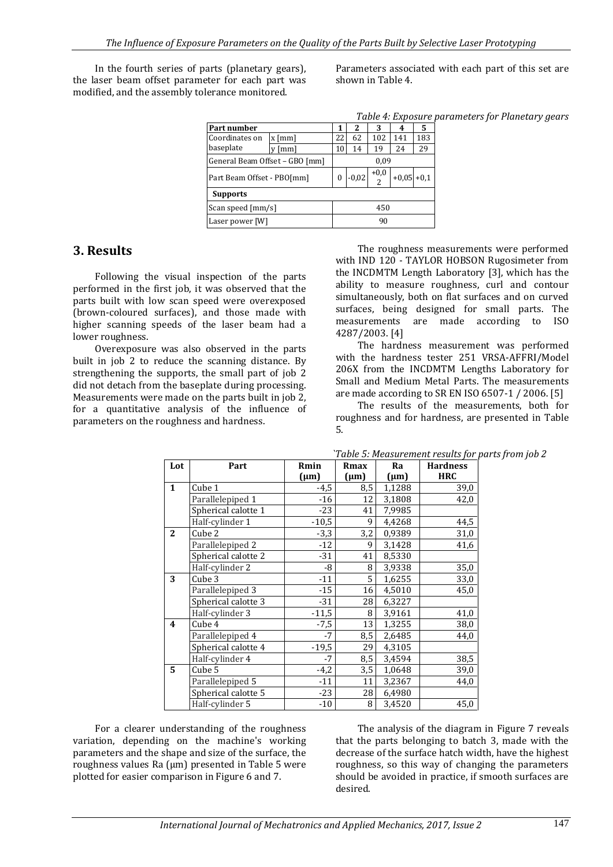In the fourth series of parts (planetary gears), the laser beam offset parameter for each part was modified, and the assembly tolerance monitored.

Parameters associated with each part of this set are shown in Table 4.

*Table 4: Exposure parameters for Planetary gears*

| Part number                    |                    |    | 2       | 3      | 4            | 5   |  |  |
|--------------------------------|--------------------|----|---------|--------|--------------|-----|--|--|
| Coordinates on                 | $x \, \text{[mm]}$ | 22 | 62      | 102    | 141          | 183 |  |  |
| baseplate                      | [mm]               | 10 | 14      | 19     | 24           | 29  |  |  |
| General Beam Offset - GBO [mm] |                    |    |         | 0.09   |              |     |  |  |
| Part Beam Offset - PBO[mm]     |                    |    | $-0,02$ | $+0,0$ | $+0.05 +0.1$ |     |  |  |
| <b>Supports</b>                |                    |    |         |        |              |     |  |  |
| Scan speed [mm/s]              |                    |    | 450     |        |              |     |  |  |
| Laser power [W]                |                    |    | 90      |        |              |     |  |  |

### **3. Results**

Following the visual inspection of the parts performed in the first job, it was observed that the parts built with low scan speed were overexposed (brown-coloured surfaces), and those made with higher scanning speeds of the laser beam had a lower roughness.

Overexposure was also observed in the parts built in job 2 to reduce the scanning distance. By strengthening the supports, the small part of job 2 did not detach from the baseplate during processing. Measurements were made on the parts built in job 2, for a quantitative analysis of the influence of parameters on the roughness and hardness.

The roughness measurements were performed with IND 120 - TAYLOR HOBSON Rugosimeter from the INCDMTM Length Laboratory [3], which has the ability to measure roughness, curl and contour simultaneously, both on flat surfaces and on curved surfaces, being designed for small parts. The measurements are made according to ISO 4287/2003. [4]

The hardness measurement was performed with the hardness tester 251 VRSA-AFFRI/Model 206X from the INCDMTM Lengths Laboratory for Small and Medium Metal Parts. The measurements are made according to SR EN ISO 6507-1 / 2006. [5]

The results of the measurements, both for roughness and for hardness, are presented in Table 5.

| Lot                     | Part                | Rmin      | Rmax      | Ra        | <b>Hardness</b> |
|-------------------------|---------------------|-----------|-----------|-----------|-----------------|
|                         |                     | $(\mu m)$ | $(\mu m)$ | $(\mu m)$ | <b>HRC</b>      |
| $\mathbf{1}$            | Cube 1              | $-4,5$    | 8,5       | 1,1288    | 39,0            |
|                         | Parallelepiped 1    | $-16$     | 12        | 3,1808    | 42,0            |
|                         | Spherical calotte 1 | $-23$     | 41        | 7,9985    |                 |
|                         | Half-cylinder 1     | $-10,5$   | 9         | 4,4268    | 44,5            |
| $\mathbf{2}$            | Cube 2              | $-3,3$    | 3,2       | 0,9389    | 31,0            |
|                         | Parallelepiped 2    | $-12$     | 9         | 3,1428    | 41,6            |
|                         | Spherical calotte 2 | $-31$     | 41        | 8,5330    |                 |
|                         | Half-cylinder 2     | -8        | 8         | 3,9338    | 35,0            |
| 3                       | Cube 3              | $-11$     | 5         | 1,6255    | 33,0            |
|                         | Parallelepiped 3    | $-15$     | 16        | 4,5010    | 45,0            |
|                         | Spherical calotte 3 | $-31$     | 28        | 6,3227    |                 |
|                         | Half-cylinder 3     | $-11,5$   | 8         | 3,9161    | 41,0            |
| $\overline{\mathbf{4}}$ | Cube 4              | $-7,5$    | 13        | 1,3255    | 38,0            |
|                         | Parallelepiped 4    | $-7$      | 8,5       | 2,6485    | 44,0            |
|                         | Spherical calotte 4 | $-19,5$   | 29        | 4,3105    |                 |
|                         | Half-cylinder 4     | $-7$      | 8,5       | 3,4594    | 38,5            |
| 5                       | Cube 5              | $-4,2$    | 3,5       | 1,0648    | 39,0            |
|                         | Parallelepiped 5    | $-11$     | 11        | 3,2367    | 44,0            |
|                         | Spherical calotte 5 | $-23$     | 28        | 6,4980    |                 |
|                         | Half-cylinder 5     | $-10$     | 8         | 3,4520    | 45,0            |

*`Table 5: Measurement results for parts from job 2* 

For a clearer understanding of the roughness variation, depending on the machine's working parameters and the shape and size of the surface, the roughness values Ra (μm) presented in Table 5 were plotted for easier comparison in Figure 6 and 7.

The analysis of the diagram in Figure 7 reveals that the parts belonging to batch 3, made with the decrease of the surface hatch width, have the highest roughness, so this way of changing the parameters should be avoided in practice, if smooth surfaces are desired.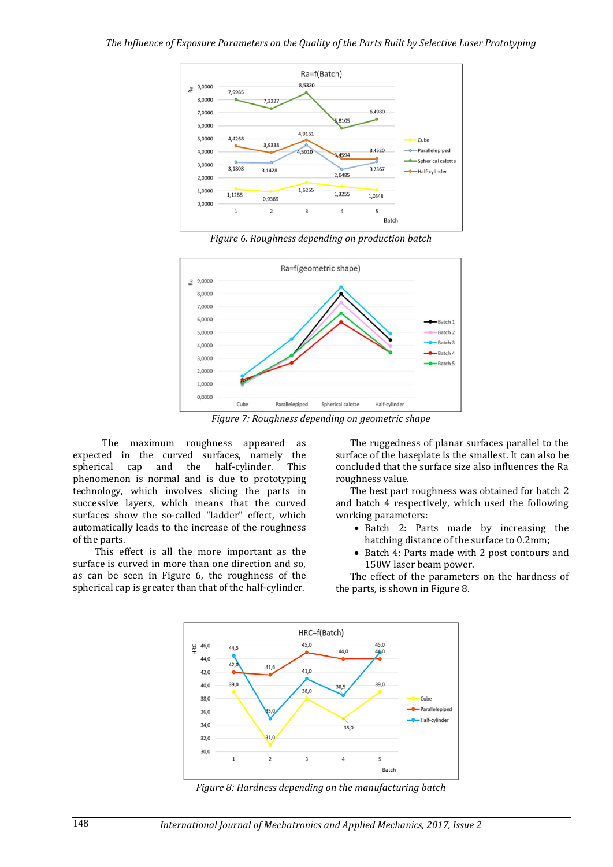

*Figure 6. Roughness depending on production batch*



*Figure 7: Roughness depending on geometric shape*

The maximum roughness appeared as expected in the curved surfaces, namely the spherical cap and the half-cylinder. This phenomenon is normal and is due to prototyping technology, which involves slicing the parts in successive layers, which means that the curved surfaces show the so-called "ladder" effect, which automatically leads to the increase of the roughness of the parts.

This effect is all the more important as the surface is curved in more than one direction and so, as can be seen in Figure 6, the roughness of the spherical cap is greater than that of the half-cylinder.

The ruggedness of planar surfaces parallel to the surface of the baseplate is the smallest. It can also be concluded that the surface size also influences the Ra roughness value.

The best part roughness was obtained for batch 2 and batch 4 respectively, which used the following working parameters:

- Batch 2: Parts made by increasing the hatching distance of the surface to 0.2mm;
- Batch 4: Parts made with 2 post contours and 150W laser beam power.

The effect of the parameters on the hardness of the parts, is shown in Figure 8.



*Figure 8: Hardness depending on the manufacturing batch*